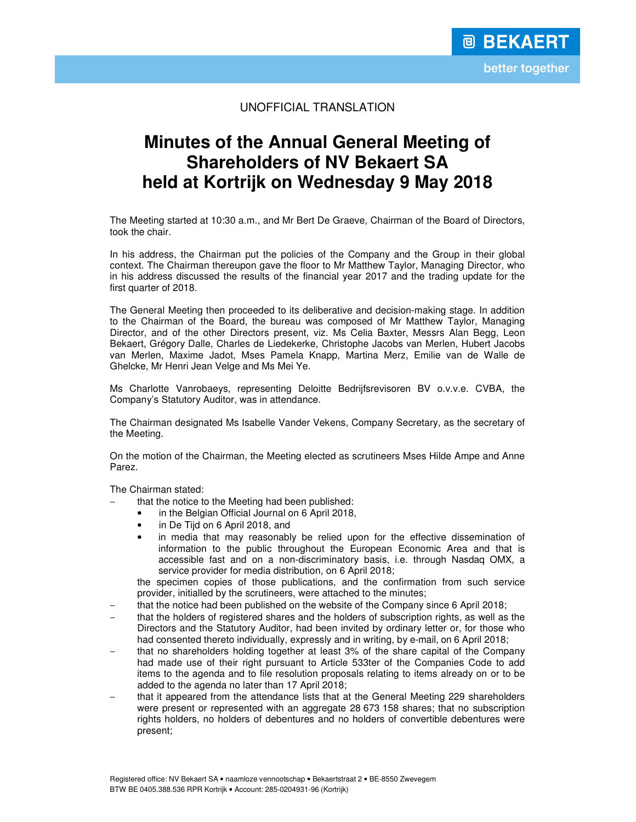## UNOFFICIAL TRANSLATION

# **Minutes of the Annual General Meeting of Shareholders of NV Bekaert SA held at Kortrijk on Wednesday 9 May 2018**

The Meeting started at 10:30 a.m., and Mr Bert De Graeve, Chairman of the Board of Directors, took the chair.

In his address, the Chairman put the policies of the Company and the Group in their global context. The Chairman thereupon gave the floor to Mr Matthew Taylor, Managing Director, who in his address discussed the results of the financial year 2017 and the trading update for the first quarter of 2018.

The General Meeting then proceeded to its deliberative and decision-making stage. In addition to the Chairman of the Board, the bureau was composed of Mr Matthew Taylor, Managing Director, and of the other Directors present, viz. Ms Celia Baxter, Messrs Alan Begg, Leon Bekaert, Grégory Dalle, Charles de Liedekerke, Christophe Jacobs van Merlen, Hubert Jacobs van Merlen, Maxime Jadot, Mses Pamela Knapp, Martina Merz, Emilie van de Walle de Ghelcke, Mr Henri Jean Velge and Ms Mei Ye.

Ms Charlotte Vanrobaeys, representing Deloitte Bedrijfsrevisoren BV o.v.v.e. CVBA, the Company's Statutory Auditor, was in attendance.

The Chairman designated Ms Isabelle Vander Vekens, Company Secretary, as the secretary of the Meeting.

On the motion of the Chairman, the Meeting elected as scrutineers Mses Hilde Ampe and Anne Parez.

The Chairman stated:

- that the notice to the Meeting had been published:
	- in the Belgian Official Journal on 6 April 2018,
	- in De Tijd on 6 April 2018, and
	- in media that may reasonably be relied upon for the effective dissemination of information to the public throughout the European Economic Area and that is accessible fast and on a non-discriminatory basis, i.e. through Nasdaq OMX, a service provider for media distribution, on 6 April 2018;

the specimen copies of those publications, and the confirmation from such service provider, initialled by the scrutineers, were attached to the minutes;

- that the notice had been published on the website of the Company since 6 April 2018;
- that the holders of registered shares and the holders of subscription rights, as well as the Directors and the Statutory Auditor, had been invited by ordinary letter or, for those who had consented thereto individually, expressly and in writing, by e-mail, on 6 April 2018;
- that no shareholders holding together at least 3% of the share capital of the Company had made use of their right pursuant to Article 533ter of the Companies Code to add items to the agenda and to file resolution proposals relating to items already on or to be added to the agenda no later than 17 April 2018;
- that it appeared from the attendance lists that at the General Meeting 229 shareholders were present or represented with an aggregate 28 673 158 shares; that no subscription rights holders, no holders of debentures and no holders of convertible debentures were present;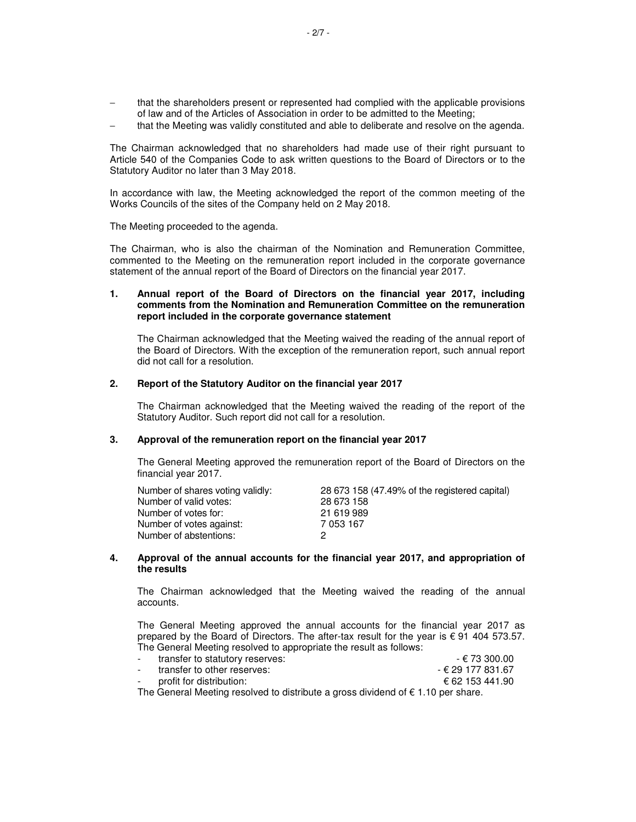- that the shareholders present or represented had complied with the applicable provisions of law and of the Articles of Association in order to be admitted to the Meeting;
- that the Meeting was validly constituted and able to deliberate and resolve on the agenda.

The Chairman acknowledged that no shareholders had made use of their right pursuant to Article 540 of the Companies Code to ask written questions to the Board of Directors or to the Statutory Auditor no later than 3 May 2018.

In accordance with law, the Meeting acknowledged the report of the common meeting of the Works Councils of the sites of the Company held on 2 May 2018.

The Meeting proceeded to the agenda.

The Chairman, who is also the chairman of the Nomination and Remuneration Committee, commented to the Meeting on the remuneration report included in the corporate governance statement of the annual report of the Board of Directors on the financial year 2017.

## **1. Annual report of the Board of Directors on the financial year 2017, including comments from the Nomination and Remuneration Committee on the remuneration report included in the corporate governance statement**

 The Chairman acknowledged that the Meeting waived the reading of the annual report of the Board of Directors. With the exception of the remuneration report, such annual report did not call for a resolution.

## **2. Report of the Statutory Auditor on the financial year 2017**

 The Chairman acknowledged that the Meeting waived the reading of the report of the Statutory Auditor. Such report did not call for a resolution.

#### **3. Approval of the remuneration report on the financial year 2017**

The General Meeting approved the remuneration report of the Board of Directors on the financial year 2017.

| Number of shares voting validly: | 28 673 158 (47.49% of the registered capital) |
|----------------------------------|-----------------------------------------------|
| Number of valid votes:           | 28 673 158                                    |
| Number of votes for:             | 21 619 989                                    |
| Number of votes against:         | 7 053 167                                     |
| Number of abstentions:           |                                               |

#### **4. Approval of the annual accounts for the financial year 2017, and appropriation of the results**

 The Chairman acknowledged that the Meeting waived the reading of the annual accounts.

 The General Meeting approved the annual accounts for the financial year 2017 as prepared by the Board of Directors. The after-tax result for the year is  $\epsilon$  91 404 573.57. The General Meeting resolved to appropriate the result as follows:

| transfer to statutory reserves: | - € 73 300.00     |
|---------------------------------|-------------------|
| transfer to other reserves:     | - € 29 177 831.67 |
| profit for distribution:        | € 62 153 441.90   |

The General Meeting resolved to distribute a gross dividend of  $\epsilon$  1.10 per share.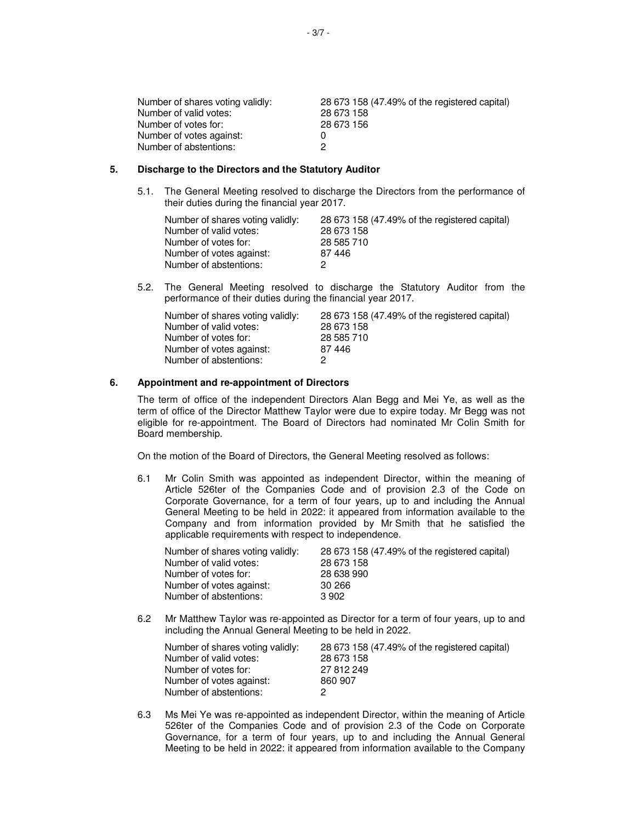| 28 673 158 (47.49% of the registered capital) |
|-----------------------------------------------|
| 28 673 158                                    |
| 28 673 156                                    |
|                                               |
|                                               |
|                                               |

#### **5. Discharge to the Directors and the Statutory Auditor**

5.1. The General Meeting resolved to discharge the Directors from the performance of their duties during the financial year 2017.

| Number of shares voting validly: | 28 673 158 (47.49% of the registered capital) |
|----------------------------------|-----------------------------------------------|
| Number of valid votes:           | 28 673 158                                    |
| Number of votes for:             | 28 585 710                                    |
| Number of votes against:         | 87 446                                        |
| Number of abstentions:           |                                               |

5.2. The General Meeting resolved to discharge the Statutory Auditor from the performance of their duties during the financial year 2017.

| Number of shares voting validly: | 28 673 158 (47.49% of the registered capital) |
|----------------------------------|-----------------------------------------------|
| Number of valid votes:           | 28 673 158                                    |
| Number of votes for:             | 28 585 710                                    |
| Number of votes against:         | 87 446                                        |
| Number of abstentions:           | 2                                             |

## **6. Appointment and re-appointment of Directors**

The term of office of the independent Directors Alan Begg and Mei Ye, as well as the term of office of the Director Matthew Taylor were due to expire today. Mr Begg was not eligible for re-appointment. The Board of Directors had nominated Mr Colin Smith for Board membership.

On the motion of the Board of Directors, the General Meeting resolved as follows:

6.1 Mr Colin Smith was appointed as independent Director, within the meaning of Article 526ter of the Companies Code and of provision 2.3 of the Code on Corporate Governance, for a term of four years, up to and including the Annual General Meeting to be held in 2022: it appeared from information available to the Company and from information provided by Mr Smith that he satisfied the applicable requirements with respect to independence.

| 28 673 158 (47.49% of the registered capital) |
|-----------------------------------------------|
| 28 673 158                                    |
| 28 638 990                                    |
| 30 266                                        |
| 3 902                                         |
|                                               |

6.2 Mr Matthew Taylor was re-appointed as Director for a term of four years, up to and including the Annual General Meeting to be held in 2022.

| Number of shares voting validly: | 28 673 158 (47.49% of the registered capital) |
|----------------------------------|-----------------------------------------------|
| Number of valid votes:           | 28 673 158                                    |
| Number of votes for:             | 27 812 249                                    |
| Number of votes against:         | 860 907                                       |
| Number of abstentions:           |                                               |

6.3 Ms Mei Ye was re-appointed as independent Director, within the meaning of Article 526ter of the Companies Code and of provision 2.3 of the Code on Corporate Governance, for a term of four years, up to and including the Annual General Meeting to be held in 2022: it appeared from information available to the Company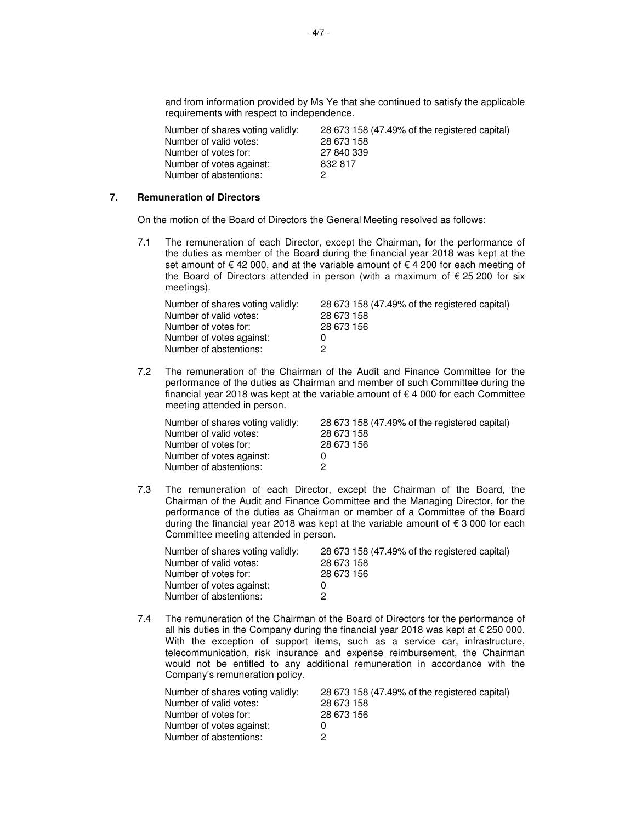and from information provided by Ms Ye that she continued to satisfy the applicable requirements with respect to independence.

| Number of shares voting validly: | 28 673 158 (47.49% of the registered capital) |
|----------------------------------|-----------------------------------------------|
| Number of valid votes:           | 28 673 158                                    |
| Number of votes for:             | 27 840 339                                    |
| Number of votes against:         | 832 817                                       |
| Number of abstentions:           |                                               |

#### **7. Remuneration of Directors**

On the motion of the Board of Directors the General Meeting resolved as follows:

7.1 The remuneration of each Director, except the Chairman, for the performance of the duties as member of the Board during the financial year 2018 was kept at the set amount of € 42 000, and at the variable amount of  $∈$  4 200 for each meeting of the Board of Directors attended in person (with a maximum of  $\epsilon$  25 200 for six meetings).

| Number of shares voting validly: | 28 673 158 (47.49% of the registered capital) |
|----------------------------------|-----------------------------------------------|
| Number of valid votes:           | 28 673 158                                    |
| Number of votes for:             | 28 673 156                                    |
| Number of votes against:         | 0                                             |
| Number of abstentions:           | 2                                             |

7.2 The remuneration of the Chairman of the Audit and Finance Committee for the performance of the duties as Chairman and member of such Committee during the financial year 2018 was kept at the variable amount of  $\epsilon$  4 000 for each Committee meeting attended in person.

| Number of shares voting validly: | 28 673 158 (47.49% of the registered capital) |
|----------------------------------|-----------------------------------------------|
| Number of valid votes:           | 28 673 158                                    |
| Number of votes for:             | 28 673 156                                    |
| Number of votes against:         |                                               |
| Number of abstentions:           |                                               |

7.3 The remuneration of each Director, except the Chairman of the Board, the Chairman of the Audit and Finance Committee and the Managing Director, for the performance of the duties as Chairman or member of a Committee of the Board during the financial year 2018 was kept at the variable amount of € 3 000 for each Committee meeting attended in person.

| Number of shares voting validly: | 28 673 158 (47.49% of the registered capital) |
|----------------------------------|-----------------------------------------------|
| Number of valid votes:           | 28 673 158                                    |
| Number of votes for:             | 28 673 156                                    |
| Number of votes against:         |                                               |
| Number of abstentions:           |                                               |

7.4 The remuneration of the Chairman of the Board of Directors for the performance of all his duties in the Company during the financial year 2018 was kept at  $\epsilon$  250 000. With the exception of support items, such as a service car, infrastructure, telecommunication, risk insurance and expense reimbursement, the Chairman would not be entitled to any additional remuneration in accordance with the Company's remuneration policy.

| Number of shares voting validly: | 28 673 158 (47.49% of the registered capital) |
|----------------------------------|-----------------------------------------------|
| Number of valid votes:           | 28 673 158                                    |
| Number of votes for:             | 28 673 156                                    |
| Number of votes against:         |                                               |
| Number of abstentions:           |                                               |
|                                  |                                               |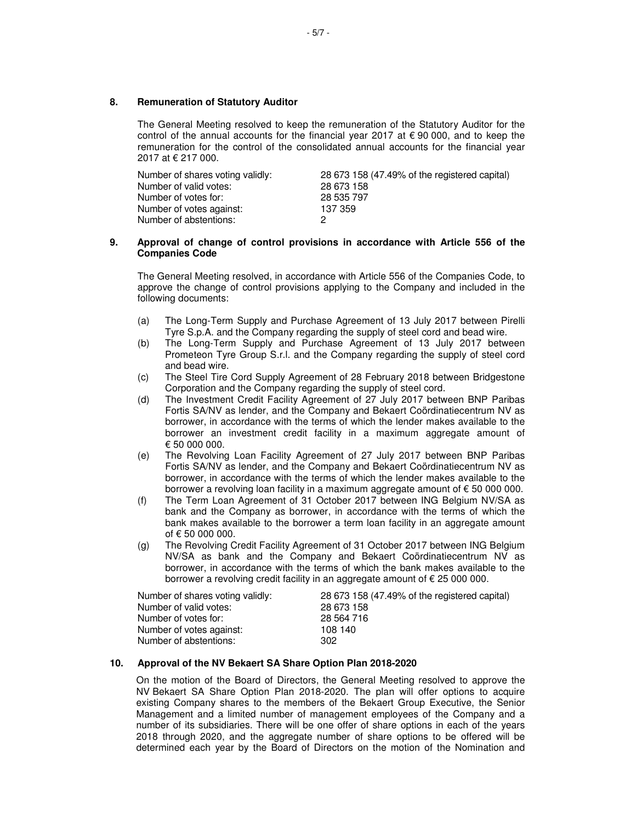## **8. Remuneration of Statutory Auditor**

The General Meeting resolved to keep the remuneration of the Statutory Auditor for the control of the annual accounts for the financial year 2017 at  $\epsilon$  90 000, and to keep the remuneration for the control of the consolidated annual accounts for the financial year 2017 at € 217 000.

| Number of shares voting validly: | 28 673 158 (47.49% of the registered capital) |
|----------------------------------|-----------------------------------------------|
| Number of valid votes:           | 28 673 158                                    |
| Number of votes for:             | 28 535 797                                    |
| Number of votes against:         | 137 359                                       |
| Number of abstentions:           |                                               |

#### **9. Approval of change of control provisions in accordance with Article 556 of the Companies Code**

The General Meeting resolved, in accordance with Article 556 of the Companies Code, to approve the change of control provisions applying to the Company and included in the following documents:

- (a) The Long-Term Supply and Purchase Agreement of 13 July 2017 between Pirelli Tyre S.p.A. and the Company regarding the supply of steel cord and bead wire.
- (b) The Long-Term Supply and Purchase Agreement of 13 July 2017 between Prometeon Tyre Group S.r.l. and the Company regarding the supply of steel cord and bead wire.
- (c) The Steel Tire Cord Supply Agreement of 28 February 2018 between Bridgestone Corporation and the Company regarding the supply of steel cord.
- (d) The Investment Credit Facility Agreement of 27 July 2017 between BNP Paribas Fortis SA/NV as lender, and the Company and Bekaert Coördinatiecentrum NV as borrower, in accordance with the terms of which the lender makes available to the borrower an investment credit facility in a maximum aggregate amount of € 50 000 000.
- (e) The Revolving Loan Facility Agreement of 27 July 2017 between BNP Paribas Fortis SA/NV as lender, and the Company and Bekaert Coördinatiecentrum NV as borrower, in accordance with the terms of which the lender makes available to the borrower a revolving loan facility in a maximum aggregate amount of € 50 000 000.
- (f) The Term Loan Agreement of 31 October 2017 between ING Belgium NV/SA as bank and the Company as borrower, in accordance with the terms of which the bank makes available to the borrower a term loan facility in an aggregate amount of € 50 000 000.
- (g) The Revolving Credit Facility Agreement of 31 October 2017 between ING Belgium NV/SA as bank and the Company and Bekaert Coördinatiecentrum NV as borrower, in accordance with the terms of which the bank makes available to the borrower a revolving credit facility in an aggregate amount of € 25 000 000.

| Number of shares voting validly: | 28 673 158 (47.49% of the registered capital) |
|----------------------------------|-----------------------------------------------|
| Number of valid votes:           | 28 673 158                                    |
| Number of votes for:             | 28 564 716                                    |
| Number of votes against:         | 108 140                                       |
| Number of abstentions:           | 302                                           |

#### **10. Approval of the NV Bekaert SA Share Option Plan 2018-2020**

On the motion of the Board of Directors, the General Meeting resolved to approve the NV Bekaert SA Share Option Plan 2018-2020. The plan will offer options to acquire existing Company shares to the members of the Bekaert Group Executive, the Senior Management and a limited number of management employees of the Company and a number of its subsidiaries. There will be one offer of share options in each of the years 2018 through 2020, and the aggregate number of share options to be offered will be determined each year by the Board of Directors on the motion of the Nomination and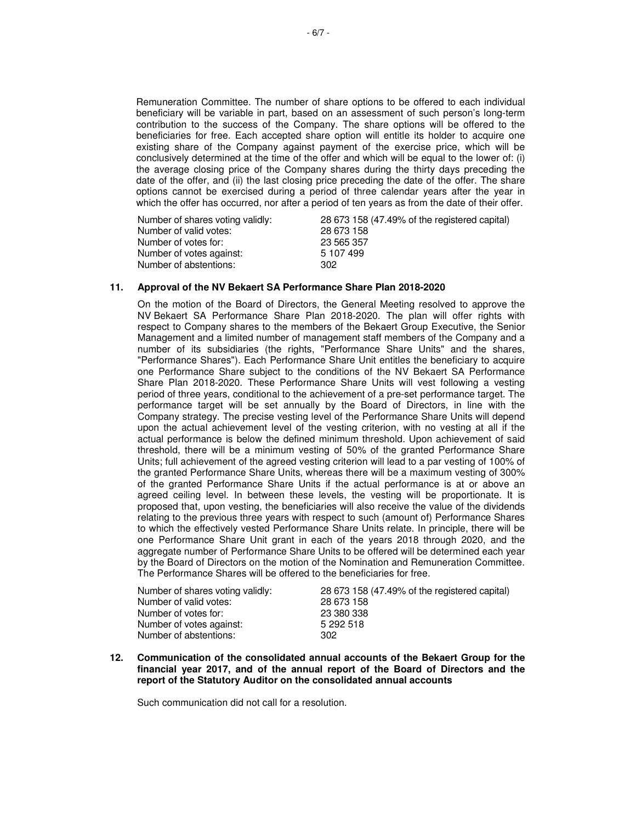Remuneration Committee. The number of share options to be offered to each individual beneficiary will be variable in part, based on an assessment of such person's long-term contribution to the success of the Company. The share options will be offered to the beneficiaries for free. Each accepted share option will entitle its holder to acquire one existing share of the Company against payment of the exercise price, which will be conclusively determined at the time of the offer and which will be equal to the lower of: (i) the average closing price of the Company shares during the thirty days preceding the date of the offer, and (ii) the last closing price preceding the date of the offer. The share options cannot be exercised during a period of three calendar years after the year in which the offer has occurred, nor after a period of ten years as from the date of their offer.

| Number of shares voting validly: | 28 673 158 (47.49% of the registered capital) |
|----------------------------------|-----------------------------------------------|
| Number of valid votes:           | 28 673 158                                    |
| Number of votes for:             | 23 565 357                                    |
| Number of votes against:         | 5 107 499                                     |
| Number of abstentions:           | 302                                           |

#### **11. Approval of the NV Bekaert SA Performance Share Plan 2018-2020**

 On the motion of the Board of Directors, the General Meeting resolved to approve the NV Bekaert SA Performance Share Plan 2018-2020. The plan will offer rights with respect to Company shares to the members of the Bekaert Group Executive, the Senior Management and a limited number of management staff members of the Company and a number of its subsidiaries (the rights, "Performance Share Units" and the shares, "Performance Shares"). Each Performance Share Unit entitles the beneficiary to acquire one Performance Share subject to the conditions of the NV Bekaert SA Performance Share Plan 2018-2020. These Performance Share Units will vest following a vesting period of three years, conditional to the achievement of a pre-set performance target. The performance target will be set annually by the Board of Directors, in line with the Company strategy. The precise vesting level of the Performance Share Units will depend upon the actual achievement level of the vesting criterion, with no vesting at all if the actual performance is below the defined minimum threshold. Upon achievement of said threshold, there will be a minimum vesting of 50% of the granted Performance Share Units; full achievement of the agreed vesting criterion will lead to a par vesting of 100% of the granted Performance Share Units, whereas there will be a maximum vesting of 300% of the granted Performance Share Units if the actual performance is at or above an agreed ceiling level. In between these levels, the vesting will be proportionate. It is proposed that, upon vesting, the beneficiaries will also receive the value of the dividends relating to the previous three years with respect to such (amount of) Performance Shares to which the effectively vested Performance Share Units relate. In principle, there will be one Performance Share Unit grant in each of the years 2018 through 2020, and the aggregate number of Performance Share Units to be offered will be determined each year by the Board of Directors on the motion of the Nomination and Remuneration Committee. The Performance Shares will be offered to the beneficiaries for free.

| Number of shares voting validly: | 28 673 158 (47.49% of the registered capital) |
|----------------------------------|-----------------------------------------------|
| Number of valid votes:           | 28 673 158                                    |
| Number of votes for:             | 23 380 338                                    |
| Number of votes against:         | 5 292 518                                     |
| Number of abstentions:           | 302                                           |

**12. Communication of the consolidated annual accounts of the Bekaert Group for the financial year 2017, and of the annual report of the Board of Directors and the report of the Statutory Auditor on the consolidated annual accounts** 

Such communication did not call for a resolution.